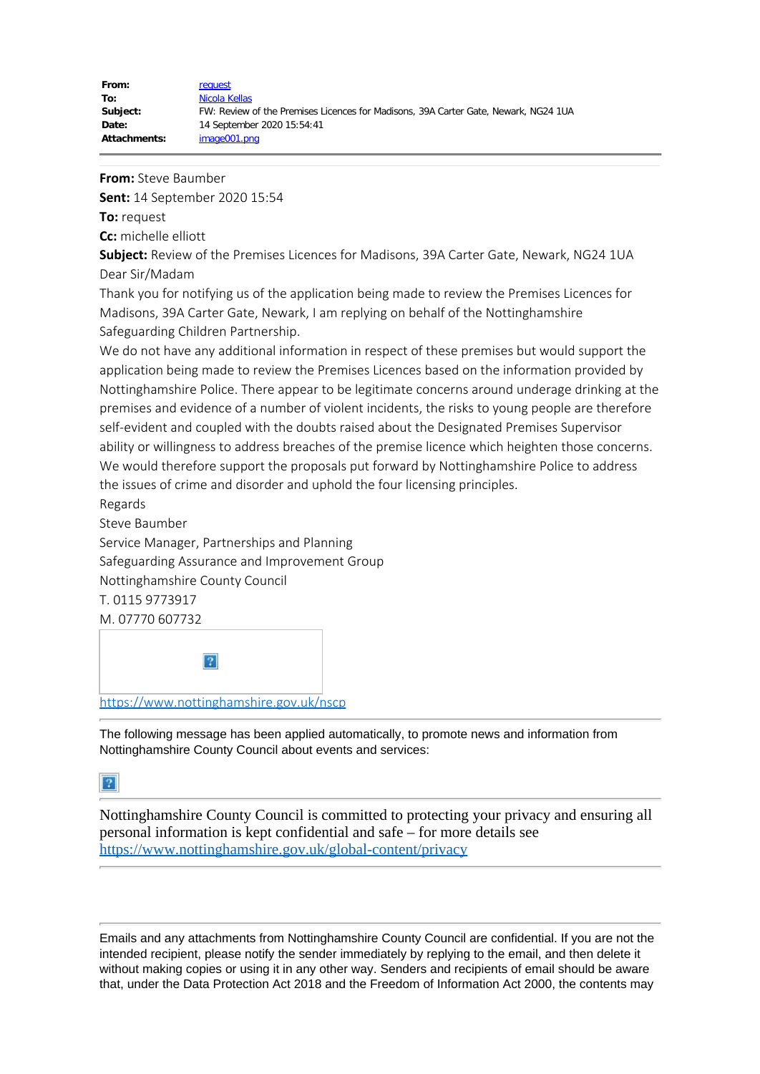## **From:** Steve Baumber

**Sent:** 14 September 2020 15:54

**To:** request

**Cc:** michelle elliott

**Subject:** Review of the Premises Licences for Madisons, 39A Carter Gate, Newark, NG24 1UA Dear Sir/Madam

Thank you for notifying us of the application being made to review the Premises Licences for Madisons, 39A Carter Gate, Newark, I am replying on behalf of the Nottinghamshire Safeguarding Children Partnership.

We do not have any additional information in respect of these premises but would support the application being made to review the Premises Licences based on the information provided by Nottinghamshire Police. There appear to be legitimate concerns around underage drinking at the premises and evidence of a number of violent incidents, the risks to young people are therefore self-evident and coupled with the doubts raised about the Designated Premises Supervisor ability or willingness to address breaches of the premise licence which heighten those concerns. We would therefore support the proposals put forward by Nottinghamshire Police to address the issues of crime and disorder and uphold the four licensing principles.

Regards

Steve Baumber

Service Manager, Partnerships and Planning Safeguarding Assurance and Improvement Group Nottinghamshire County Council T. 0115 9773917 M. 07770 607732



The following message has been applied automatically, to promote news and information from Nottinghamshire County Council about events and services:

## $\boxed{?}$

Nottinghamshire County Council is committed to protecting your privacy and ensuring all personal information is kept confidential and safe – for more details see <https://www.nottinghamshire.gov.uk/global-content/privacy>

Emails and any attachments from Nottinghamshire County Council are confidential. If you are not the intended recipient, please notify the sender immediately by replying to the email, and then delete it without making copies or using it in any other way. Senders and recipients of email should be aware that, under the Data Protection Act 2018 and the Freedom of Information Act 2000, the contents may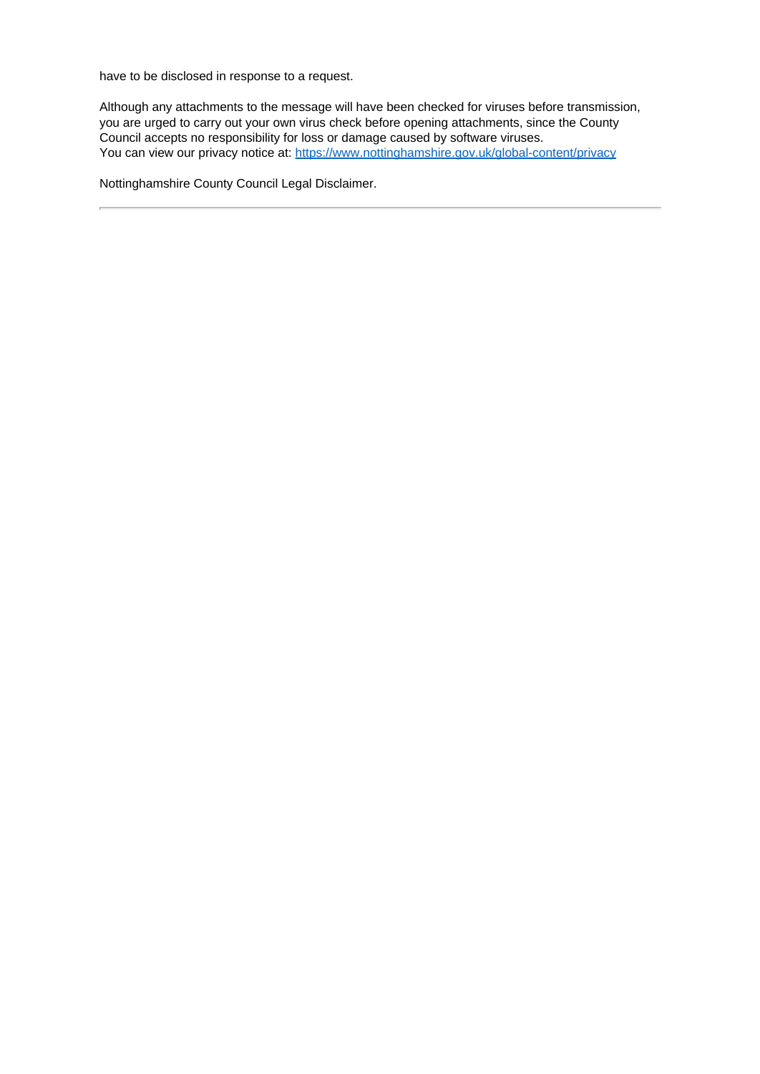have to be disclosed in response to a request.

Although any attachments to the message will have been checked for viruses before transmission, you are urged to carry out your own virus check before opening attachments, since the County Council accepts no responsibility for loss or damage caused by software viruses. You can view our privacy notice at:<https://www.nottinghamshire.gov.uk/global-content/privacy>

Nottinghamshire County Council Legal Disclaimer.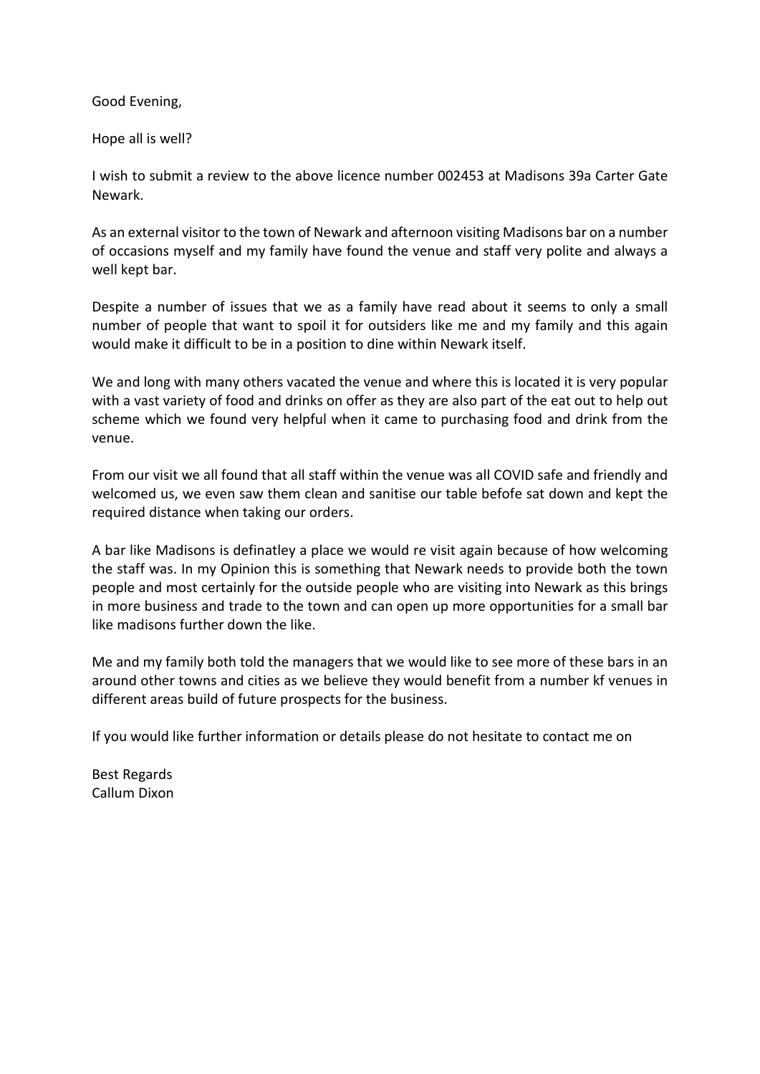Good Evening,

Hope all is well?

I wish to submit a review to the above licence number 002453 at Madisons 39a Carter Gate Newark.

As an external visitor to the town of Newark and afternoon visiting Madisons bar on a number of occasions myself and my family have found the venue and staff very polite and always a well kept bar.

Despite a number of issues that we as a family have read about it seems to only a small number of people that want to spoil it for outsiders like me and my family and this again would make it difficult to be in a position to dine within Newark itself.

We and long with many others vacated the venue and where this is located it is very popular with a vast variety of food and drinks on offer as they are also part of the eat out to help out scheme which we found very helpful when it came to purchasing food and drink from the venue.

From our visit we all found that all staff within the venue was all COVID safe and friendly and welcomed us, we even saw them clean and sanitise our table befofe sat down and kept the required distance when taking our orders.

A bar like Madisons is definatley a place we would re visit again because of how welcoming the staff was. In my Opinion this is something that Newark needs to provide both the town people and most certainly for the outside people who are visiting into Newark as this brings in more business and trade to the town and can open up more opportunities for a small bar like madisons further down the like.

Me and my family both told the managers that we would like to see more of these bars in an around other towns and cities as we believe they would benefit from a number kf venues in different areas build of future prospects for the business.

If you would like further information or details please do not hesitate to contact me on

Best Regards Callum Dixon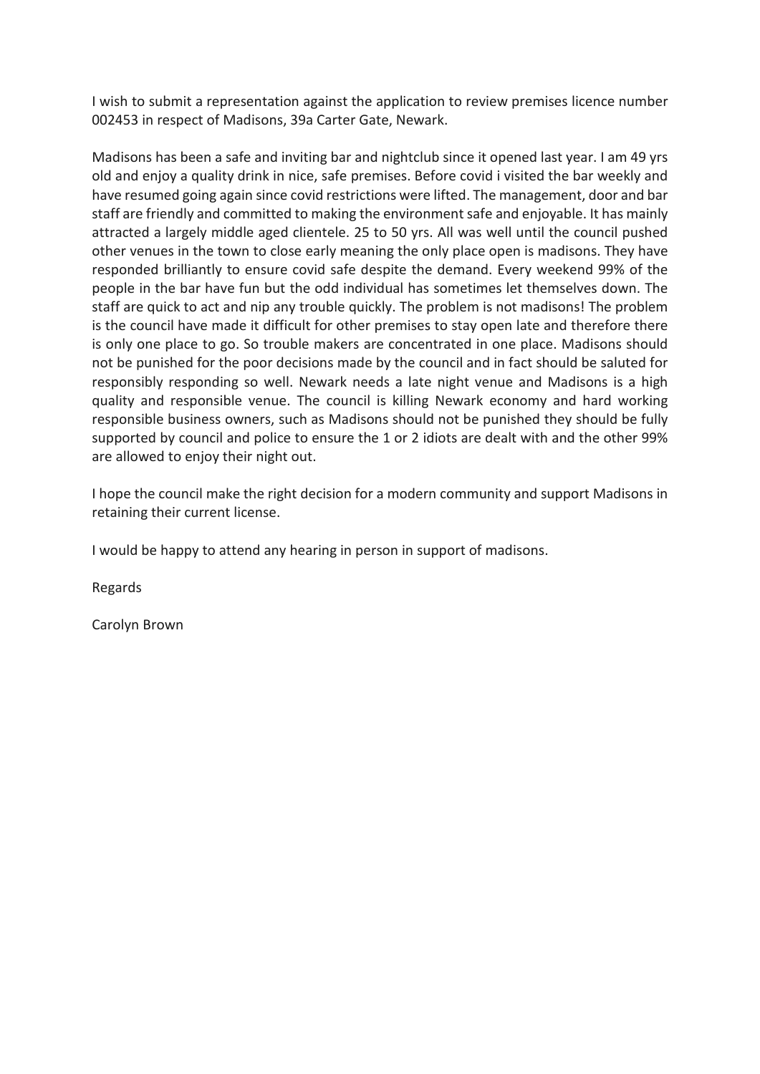I wish to submit a representation against the application to review premises licence number 002453 in respect of Madisons, 39a Carter Gate, Newark.

Madisons has been a safe and inviting bar and nightclub since it opened last year. I am 49 yrs old and enjoy a quality drink in nice, safe premises. Before covid i visited the bar weekly and have resumed going again since covid restrictions were lifted. The management, door and bar staff are friendly and committed to making the environment safe and enjoyable. It has mainly attracted a largely middle aged clientele. 25 to 50 yrs. All was well until the council pushed other venues in the town to close early meaning the only place open is madisons. They have responded brilliantly to ensure covid safe despite the demand. Every weekend 99% of the people in the bar have fun but the odd individual has sometimes let themselves down. The staff are quick to act and nip any trouble quickly. The problem is not madisons! The problem is the council have made it difficult for other premises to stay open late and therefore there is only one place to go. So trouble makers are concentrated in one place. Madisons should not be punished for the poor decisions made by the council and in fact should be saluted for responsibly responding so well. Newark needs a late night venue and Madisons is a high quality and responsible venue. The council is killing Newark economy and hard working responsible business owners, such as Madisons should not be punished they should be fully supported by council and police to ensure the 1 or 2 idiots are dealt with and the other 99% are allowed to enjoy their night out.

I hope the council make the right decision for a modern community and support Madisons in retaining their current license.

I would be happy to attend any hearing in person in support of madisons.

Regards

Carolyn Brown